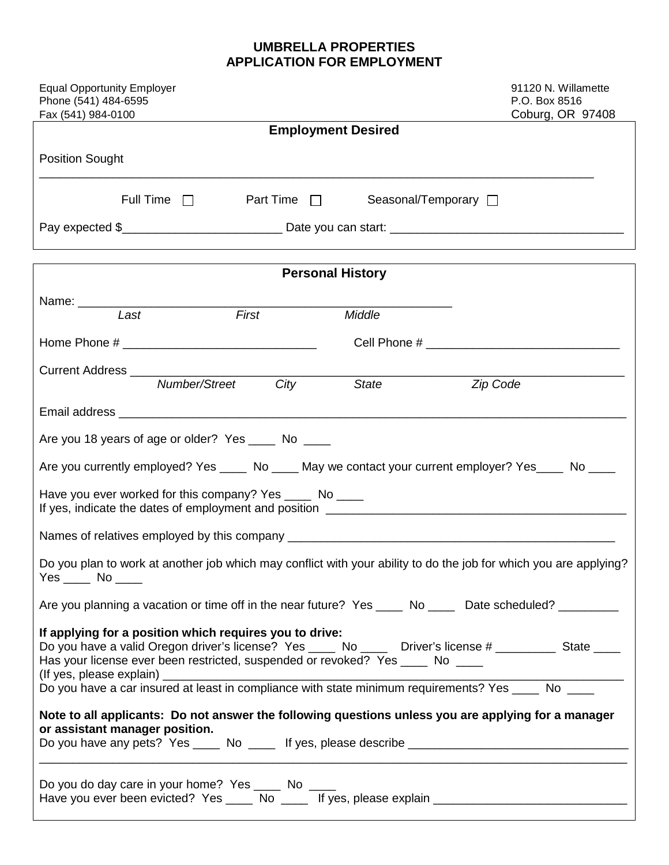## **UMBRELLA PROPERTIES APPLICATION FOR EMPLOYMENT**

| <b>Equal Opportunity Employer</b><br>Phone (541) 484-6595<br>Fax (541) 984-0100                                                                                                                                                                                                                                                                         |                           | 91120 N. Willamette<br>P.O. Box 8516<br>Coburg, OR 97408 |  |  |
|---------------------------------------------------------------------------------------------------------------------------------------------------------------------------------------------------------------------------------------------------------------------------------------------------------------------------------------------------------|---------------------------|----------------------------------------------------------|--|--|
|                                                                                                                                                                                                                                                                                                                                                         | <b>Employment Desired</b> |                                                          |  |  |
| <b>Position Sought</b>                                                                                                                                                                                                                                                                                                                                  |                           |                                                          |  |  |
| Full Time $\Box$ Part Time $\Box$                                                                                                                                                                                                                                                                                                                       | Seasonal/Temporary □      |                                                          |  |  |
|                                                                                                                                                                                                                                                                                                                                                         |                           |                                                          |  |  |
|                                                                                                                                                                                                                                                                                                                                                         | <b>Personal History</b>   |                                                          |  |  |
|                                                                                                                                                                                                                                                                                                                                                         |                           |                                                          |  |  |
| Name: Last First                                                                                                                                                                                                                                                                                                                                        | Middle                    |                                                          |  |  |
|                                                                                                                                                                                                                                                                                                                                                         |                           |                                                          |  |  |
|                                                                                                                                                                                                                                                                                                                                                         |                           |                                                          |  |  |
| Number/Street<br>City                                                                                                                                                                                                                                                                                                                                   | State<br>Zip Code         |                                                          |  |  |
|                                                                                                                                                                                                                                                                                                                                                         |                           |                                                          |  |  |
| Are you 18 years of age or older? Yes ____ No ____                                                                                                                                                                                                                                                                                                      |                           |                                                          |  |  |
| Are you currently employed? Yes _____ No ____ May we contact your current employer? Yes ____ No ____                                                                                                                                                                                                                                                    |                           |                                                          |  |  |
| Have you ever worked for this company? Yes _____ No ____                                                                                                                                                                                                                                                                                                |                           |                                                          |  |  |
|                                                                                                                                                                                                                                                                                                                                                         |                           |                                                          |  |  |
| Do you plan to work at another job which may conflict with your ability to do the job for which you are applying?<br>$Yes$ No $\_\_$                                                                                                                                                                                                                    |                           |                                                          |  |  |
| Are you planning a vacation or time off in the near future? Yes _____ No _____ Date scheduled? _________                                                                                                                                                                                                                                                |                           |                                                          |  |  |
| If applying for a position which requires you to drive:<br>Do you have a valid Oregon driver's license? Yes ____ No ____ Driver's license # ________ State ____<br>Has your license ever been restricted, suspended or revoked? Yes ____ No ____<br>Note to all applicants: Do not answer the following questions unless you are applying for a manager |                           |                                                          |  |  |
| or assistant manager position.<br>Do you have any pets? Yes _____ No _____ If yes, please describe ___________________________________                                                                                                                                                                                                                  |                           |                                                          |  |  |
| Do you do day care in your home? Yes ______ No _____<br>Have you ever been evicted? Yes ____ No ____ If yes, please explain ________________________________                                                                                                                                                                                            |                           |                                                          |  |  |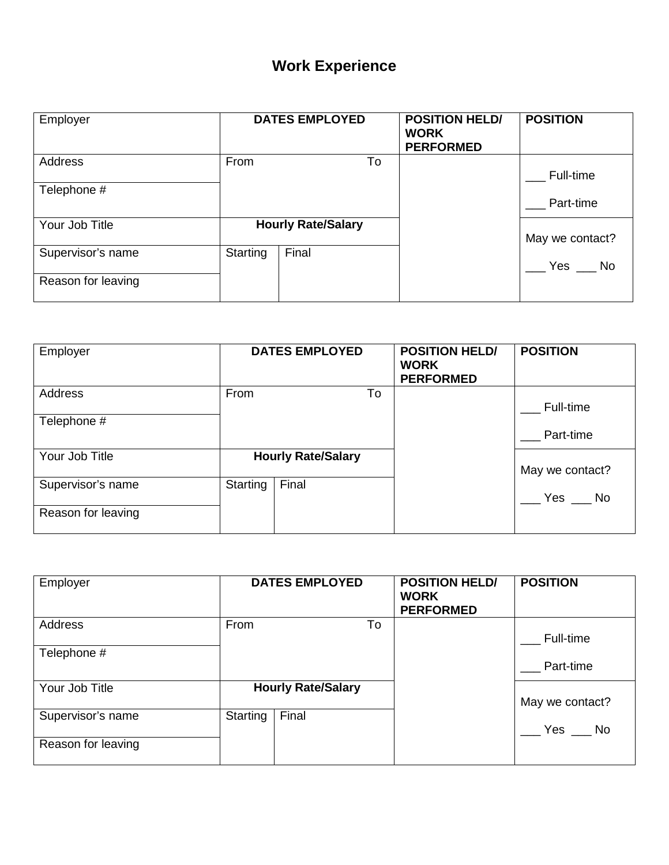## **Work Experience**

| Employer           |          | <b>DATES EMPLOYED</b>     | <b>POSITION HELD/</b><br><b>WORK</b><br><b>PERFORMED</b> | <b>POSITION</b> |
|--------------------|----------|---------------------------|----------------------------------------------------------|-----------------|
| Address            | From     | To                        |                                                          | Full-time       |
| Telephone #        |          |                           |                                                          | Part-time       |
| Your Job Title     |          | <b>Hourly Rate/Salary</b> |                                                          | May we contact? |
| Supervisor's name  | Starting | Final                     |                                                          | Yes $\_\_\$ No  |
| Reason for leaving |          |                           |                                                          |                 |

| Employer           |          | <b>DATES EMPLOYED</b>     |    | <b>POSITION HELD/</b><br><b>WORK</b><br><b>PERFORMED</b> | <b>POSITION</b> |
|--------------------|----------|---------------------------|----|----------------------------------------------------------|-----------------|
| Address            | From     |                           | To |                                                          | Full-time       |
| Telephone #        |          |                           |    |                                                          | Part-time       |
| Your Job Title     |          | <b>Hourly Rate/Salary</b> |    |                                                          | May we contact? |
| Supervisor's name  | Starting | Final                     |    |                                                          | Yes $\_\_\$ No  |
| Reason for leaving |          |                           |    |                                                          |                 |

| Employer           |          | <b>DATES EMPLOYED</b>     | <b>POSITION HELD/</b><br><b>WORK</b><br><b>PERFORMED</b> | <b>POSITION</b> |
|--------------------|----------|---------------------------|----------------------------------------------------------|-----------------|
| Address            | From     | To                        |                                                          | Full-time       |
| Telephone #        |          |                           |                                                          | Part-time       |
| Your Job Title     |          | <b>Hourly Rate/Salary</b> |                                                          | May we contact? |
| Supervisor's name  | Starting | Final                     |                                                          | Yes No          |
| Reason for leaving |          |                           |                                                          |                 |